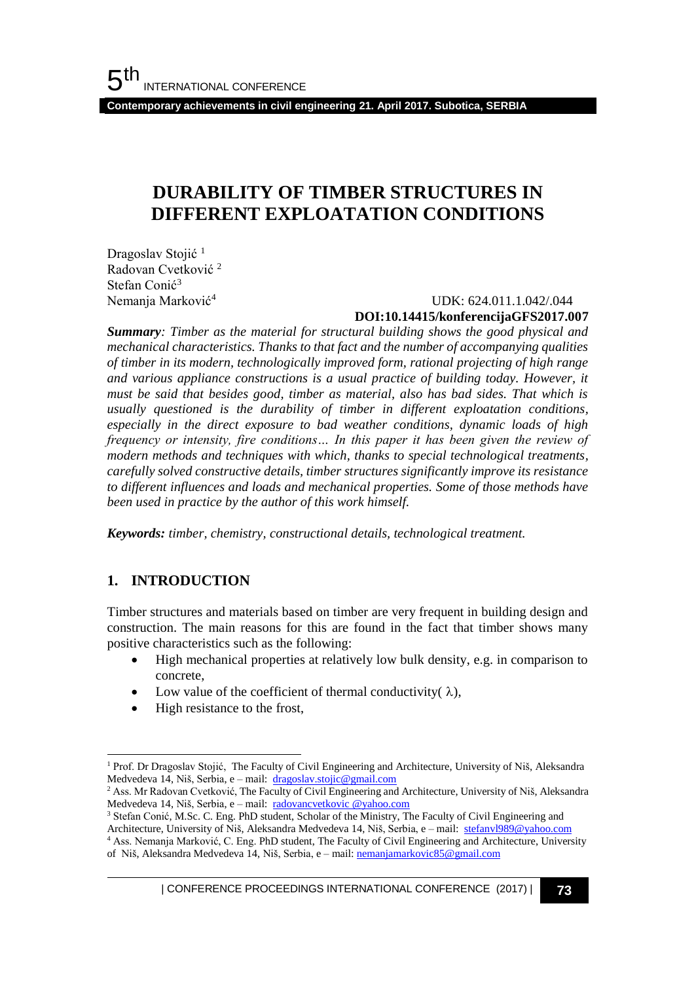**Contemporary achievements in civil engineering 21. April 2017. Subotica, SERBIA**

# **DURABILITY OF TIMBER STRUCTURES IN DIFFERENT EXPLOATATION CONDITIONS**

Dragoslav Stojić<sup>1</sup> Radovan Cvetković <sup>2</sup> Stefan Conić<sup>3</sup> Nemanja Marković<sup>4</sup>

## UDK: 624.011.1.042/.044 **DOI:10.14415/konferencijaGFS2017.007**

*Summary: Timber as the material for structural building shows the good physical and mechanical characteristics. Thanks to that fact and the number of accompanying qualities of timber in its modern, technologically improved form, rational projecting of high range and various appliance constructions is a usual practice of building today. However, it must be said that besides good, timber as material, also has bad sides. That which is usually questioned is the durability of timber in different exploatation conditions, especially in the direct exposure to bad weather conditions, dynamic loads of high frequency or intensity, fire conditions… In this paper it has been given the review of modern methods and techniques with which, thanks to special technological treatments, carefully solved constructive details, timber structures significantly improve its resistance to different influences and loads and mechanical properties. Some of those methods have been used in practice by the author of this work himself.* 

*Keywords: timber, chemistry, constructional details, technological treatment.*

## **1. INTRODUCTION**

l

Timber structures and materials based on timber are very frequent in building design and construction. The main reasons for this are found in the fact that timber shows many positive characteristics such as the following:

- High mechanical properties at relatively low bulk density, e.g. in comparison to concrete,
- Low value of the coefficient of thermal conductivity( $\lambda$ ),
- High resistance to the frost,

<sup>1</sup> Prof. Dr Dragoslav Stojić, The Faculty of Civil Engineering and Architecture, University of Niš, Aleksandra Medvedeva 14, Niš, Serbia, e – mail: [dragoslav.stojic@gmail.com](mailto:dragoslav.stojic@gmail.com)

<sup>&</sup>lt;sup>2</sup> Ass. Mr Radovan Cvetković, The Faculty of Civil Engineering and Architecture, University of Niš, Aleksandra Medvedeva 14, Niš, Serbia, e – mail: [radovancvetkovic @yahoo.com](mailto:dragoslav.stojic@gmail.com)

<sup>&</sup>lt;sup>3</sup> Stefan Conić, M.Sc. C. Eng. PhD student, Scholar of the Ministry, The Faculty of Civil Engineering and Architecture, University of Niš, Aleksandra Medvedeva 14, Niš, Serbia, e – mail: [stefanvl989@yahoo.com](mailto:stefanvl989@yahoo.com)

<sup>4</sup> Ass. Nemanja Marković, C. Eng. PhD student, The Faculty of Civil Engineering and Architecture, University of Niš, Aleksandra Medvedeva 14, Niš, Serbia, e - mail: [nemanjamarkovic85@gmail.com](mailto:nemanjamarkovic85@gmail.com)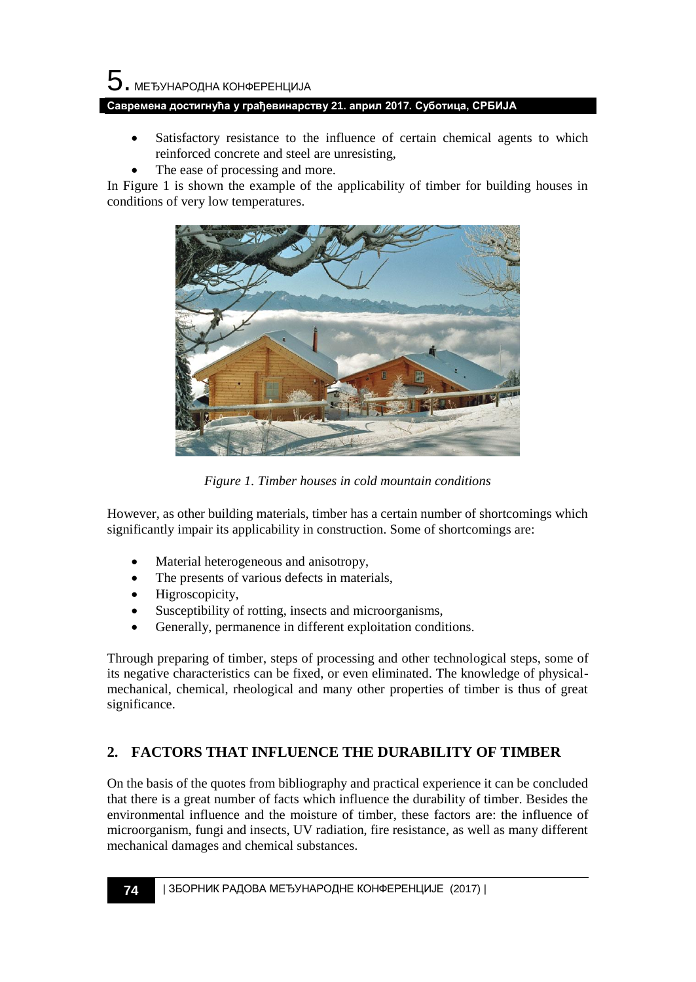# $\mathbf 5$ . међународна конференција

#### **Савремена достигнућа у грађевинарству 21. април 2017. Суботица, СРБИЈА**

- Satisfactory resistance to the influence of certain chemical agents to which reinforced concrete and steel are unresisting,
- The ease of processing and more.

In Figure 1 is shown the example of the applicability of timber for building houses in conditions of very low temperatures.



*Figure 1. Timber houses in cold mountain conditions*

However, as other building materials, timber has a certain number of shortcomings which significantly impair its applicability in construction. Some of shortcomings are:

- Material heterogeneous and anisotropy,
- The presents of various defects in materials,
- Higroscopicity,
- Susceptibility of rotting, insects and microorganisms,
- Generally, permanence in different exploitation conditions.

Through preparing of timber, steps of processing and other technological steps, some of its negative characteristics can be fixed, or even eliminated. The knowledge of physicalmechanical, chemical, rheological and many other properties of timber is thus of great significance.

## **2. FACTORS THAT INFLUENCE THE DURABILITY OF TIMBER**

On the basis of the quotes from bibliography and practical experience it can be concluded that there is a great number of facts which influence the durability of timber. Besides the environmental influence and the moisture of timber, these factors are: the influence of microorganism, fungi and insects, UV radiation, fire resistance, as well as many different mechanical damages and chemical substances.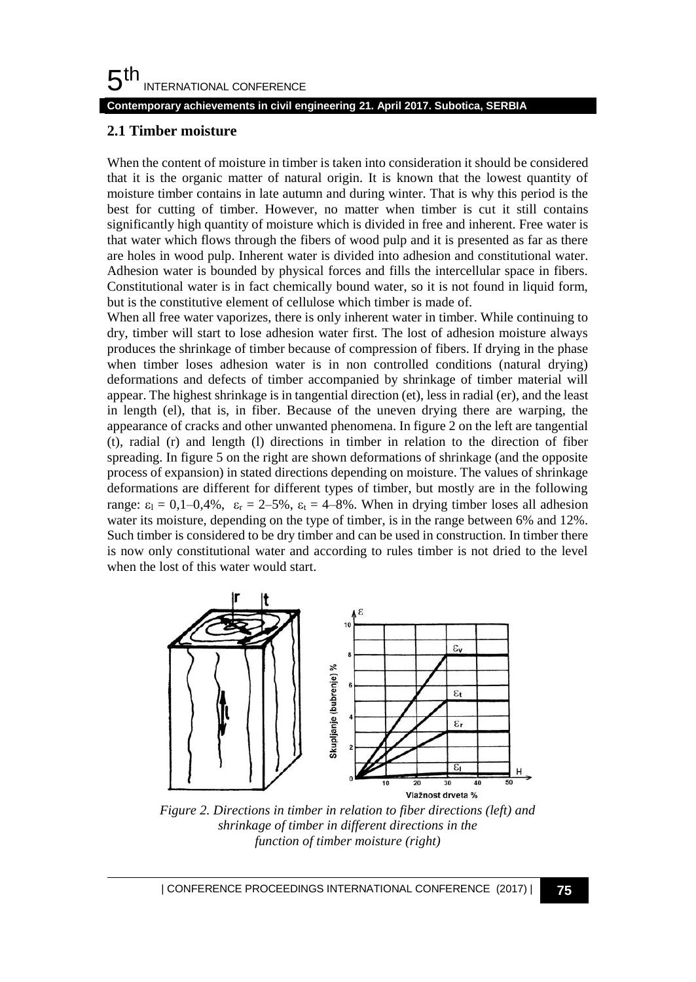#### 5 th INTERNATIONAL CONFERENCE

#### **Contemporary achievements in civil engineering 21. April 2017. Subotica, SERBIA**

### **2.1 Timber moisture**

When the content of moisture in timber is taken into consideration it should be considered that it is the organic matter of natural origin. It is known that the lowest quantity of moisture timber contains in late autumn and during winter. That is why this period is the best for cutting of timber. However, no matter when timber is cut it still contains significantly high quantity of moisture which is divided in free and inherent. Free water is that water which flows through the fibers of wood pulp and it is presented as far as there are holes in wood pulp. Inherent water is divided into adhesion and constitutional water. Adhesion water is bounded by physical forces and fills the intercellular space in fibers. Constitutional water is in fact chemically bound water, so it is not found in liquid form, but is the constitutive element of cellulose which timber is made of.

When all free water vaporizes, there is only inherent water in timber. While continuing to dry, timber will start to lose adhesion water first. The lost of adhesion moisture always produces the shrinkage of timber because of compression of fibers. If drying in the phase when timber loses adhesion water is in non controlled conditions (natural drying) deformations and defects of timber accompanied by shrinkage of timber material will appear. The highest shrinkage is in tangential direction (et), less in radial (er), and the least in length (el), that is, in fiber. Because of the uneven drying there are warping, the appearance of cracks and other unwanted phenomena. In figure 2 on the left are tangential (t), radial (r) and length (l) directions in timber in relation to the direction of fiber spreading. In figure 5 on the right are shown deformations of shrinkage (and the opposite process of expansion) in stated directions depending on moisture. The values of shrinkage deformations are different for different types of timber, but mostly are in the following range:  $\varepsilon_1 = 0, 1-0, 4\%$ ,  $\varepsilon_r = 2-5\%$ ,  $\varepsilon_t = 4-8\%$ . When in drying timber loses all adhesion water its moisture, depending on the type of timber, is in the range between 6% and 12%. Such timber is considered to be dry timber and can be used in construction. In timber there is now only constitutional water and according to rules timber is not dried to the level when the lost of this water would start.



*Figure 2. Directions in timber in relation to fiber directions (left) and shrinkage of timber in different directions in the function of timber moisture (right)*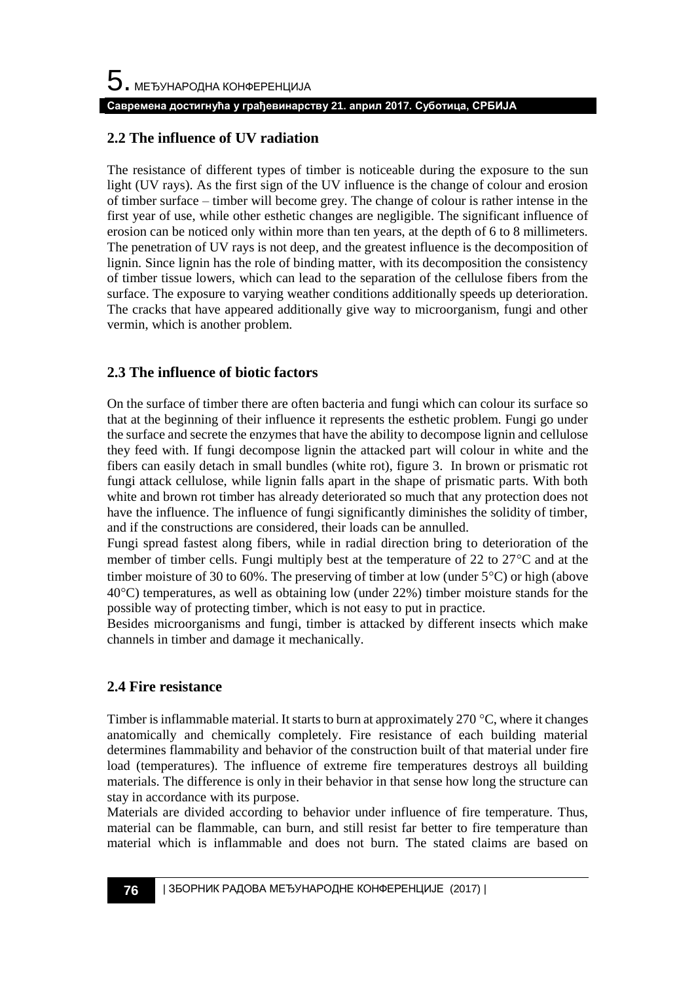## **2.2 The influence of UV radiation**

The resistance of different types of timber is noticeable during the exposure to the sun light (UV rays). As the first sign of the UV influence is the change of colour and erosion of timber surface – timber will become grey. The change of colour is rather intense in the first year of use, while other esthetic changes are negligible. The significant influence of erosion can be noticed only within more than ten years, at the depth of 6 to 8 millimeters. The penetration of UV rays is not deep, and the greatest influence is the decomposition of lignin. Since lignin has the role of binding matter, with its decomposition the consistency of timber tissue lowers, which can lead to the separation of the cellulose fibers from the surface. The exposure to varying weather conditions additionally speeds up deterioration. The cracks that have appeared additionally give way to microorganism, fungi and other vermin, which is another problem.

## **2.3 The influence of biotic factors**

On the surface of timber there are often bacteria and fungi which can colour its surface so that at the beginning of their influence it represents the esthetic problem. Fungi go under the surface and secrete the enzymes that have the ability to decompose lignin and cellulose they feed with. If fungi decompose lignin the attacked part will colour in white and the fibers can easily detach in small bundles (white rot), figure 3. In brown or prismatic rot fungi attack cellulose, while lignin falls apart in the shape of prismatic parts. With both white and brown rot timber has already deteriorated so much that any protection does not have the influence. The influence of fungi significantly diminishes the solidity of timber, and if the constructions are considered, their loads can be annulled.

Fungi spread fastest along fibers, while in radial direction bring to deterioration of the member of timber cells. Fungi multiply best at the temperature of 22 to  $27^{\circ}$ C and at the timber moisture of 30 to 60%. The preserving of timber at low (under  $5^{\circ}$ C) or high (above  $40^{\circ}$ C) temperatures, as well as obtaining low (under 22%) timber moisture stands for the possible way of protecting timber, which is not easy to put in practice.

Besides microorganisms and fungi, timber is attacked by different insects which make channels in timber and damage it mechanically.

## **2.4 Fire resistance**

Timber is inflammable material. It starts to burn at approximately 270  $\degree$ C, where it changes anatomically and chemically completely. Fire resistance of each building material determines flammability and behavior of the construction built of that material under fire load (temperatures). The influence of extreme fire temperatures destroys all building materials. The difference is only in their behavior in that sense how long the structure can stay in accordance with its purpose.

Materials are divided according to behavior under influence of fire temperature. Thus, material can be flammable, can burn, and still resist far better to fire temperature than material which is inflammable and does not burn. The stated claims are based on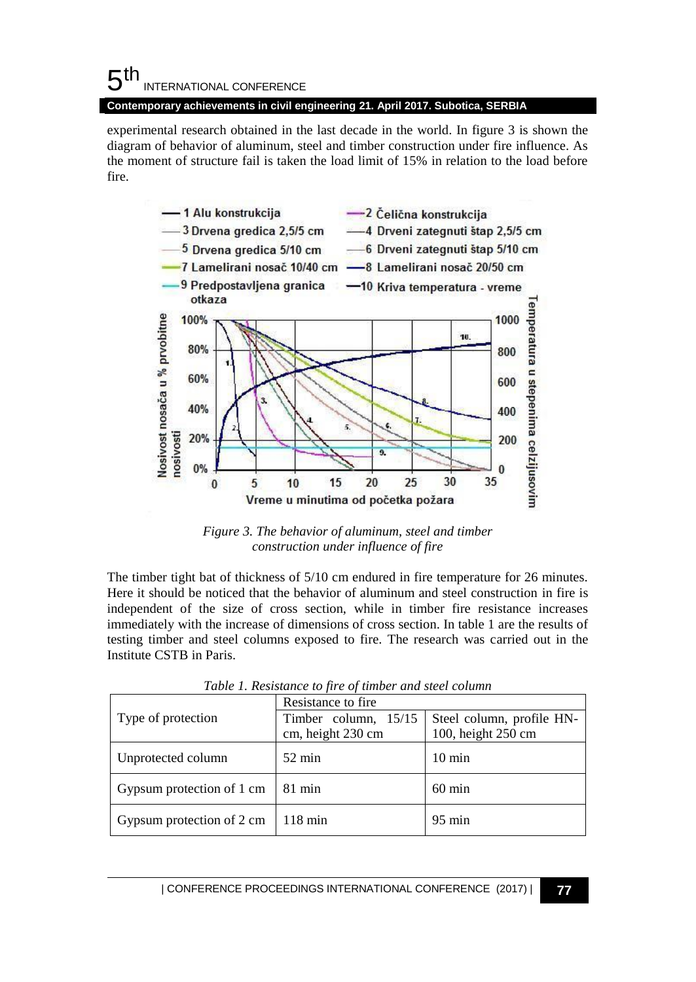experimental research obtained in the last decade in the world. In figure 3 is shown the diagram of behavior of aluminum, steel and timber construction under fire influence. As the moment of structure fail is taken the load limit of 15% in relation to the load before fire.



*Figure 3. The behavior of aluminum, steel and timber construction under influence of fire*

The timber tight bat of thickness of 5/10 cm endured in fire temperature for 26 minutes. Here it should be noticed that the behavior of aluminum and steel construction in fire is independent of the size of cross section, while in timber fire resistance increases immediately with the increase of dimensions of cross section. In table 1 are the results of testing timber and steel columns exposed to fire. The research was carried out in the Institute CSTB in Paris.

|                           | Resistance to fire   |                           |  |
|---------------------------|----------------------|---------------------------|--|
| Type of protection        | Timber column, 15/15 | Steel column, profile HN- |  |
|                           | cm, height 230 cm    | 100, height 250 cm        |  |
| Unprotected column        | $52 \text{ min}$     | $10 \text{ min}$          |  |
| Gypsum protection of 1 cm | $81 \text{ min}$     | $60 \text{ min}$          |  |
| Gypsum protection of 2 cm | $118 \text{ min}$    | $95 \text{ min}$          |  |

*Table 1. Resistance to fire of timber and steel column*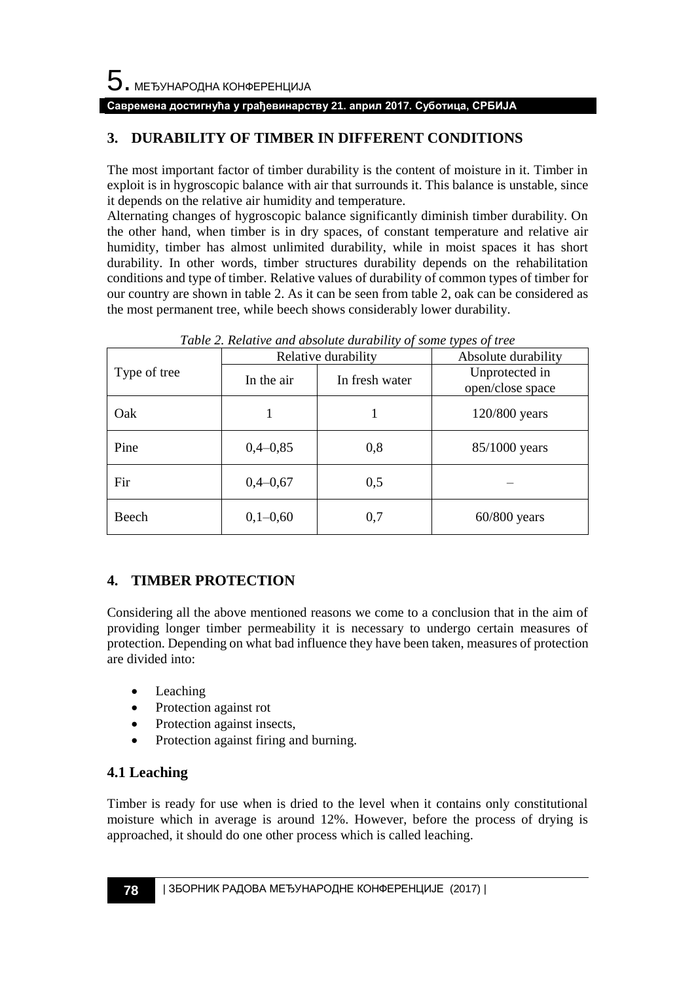## **Савремена достигнућа у грађевинарству 21. април 2017. Суботица, СРБИЈА**

## **3. DURABILITY OF TIMBER IN DIFFERENT CONDITIONS**

The most important factor of timber durability is the content of moisture in it. Timber in exploit is in hygroscopic balance with air that surrounds it. This balance is unstable, since it depends on the relative air humidity and temperature.

Alternating changes of hygroscopic balance significantly diminish timber durability. On the other hand, when timber is in dry spaces, of constant temperature and relative air humidity, timber has almost unlimited durability, while in moist spaces it has short durability. In other words, timber structures durability depends on the rehabilitation conditions and type of timber. Relative values of durability of common types of timber for our country are shown in table 2. As it can be seen from table 2, oak can be considered as the most permanent tree, while beech shows considerably lower durability.

|              | Relative durability |                | Absolute durability                |
|--------------|---------------------|----------------|------------------------------------|
| Type of tree | In the air          | In fresh water | Unprotected in<br>open/close space |
| Oak          |                     |                | 120/800 years                      |
| Pine         | $0,4-0,85$          | 0,8            | 85/1000 years                      |
| Fir          | $0,4-0,67$          | 0,5            |                                    |
| Beech        | $0,1-0,60$          | 0,7            | $60/800$ years                     |

*Table 2. Relative and absolute durability of some types of tree*

## **4. TIMBER PROTECTION**

Considering all the above mentioned reasons we come to a conclusion that in the aim of providing longer timber permeability it is necessary to undergo certain measures of protection. Depending on what bad influence they have been taken, measures of protection are divided into:

- Leaching
- Protection against rot
- Protection against insects,
- Protection against firing and burning.

## **4.1 Leaching**

Timber is ready for use when is dried to the level when it contains only constitutional moisture which in average is around 12%. However, before the process of drying is approached, it should do one other process which is called leaching.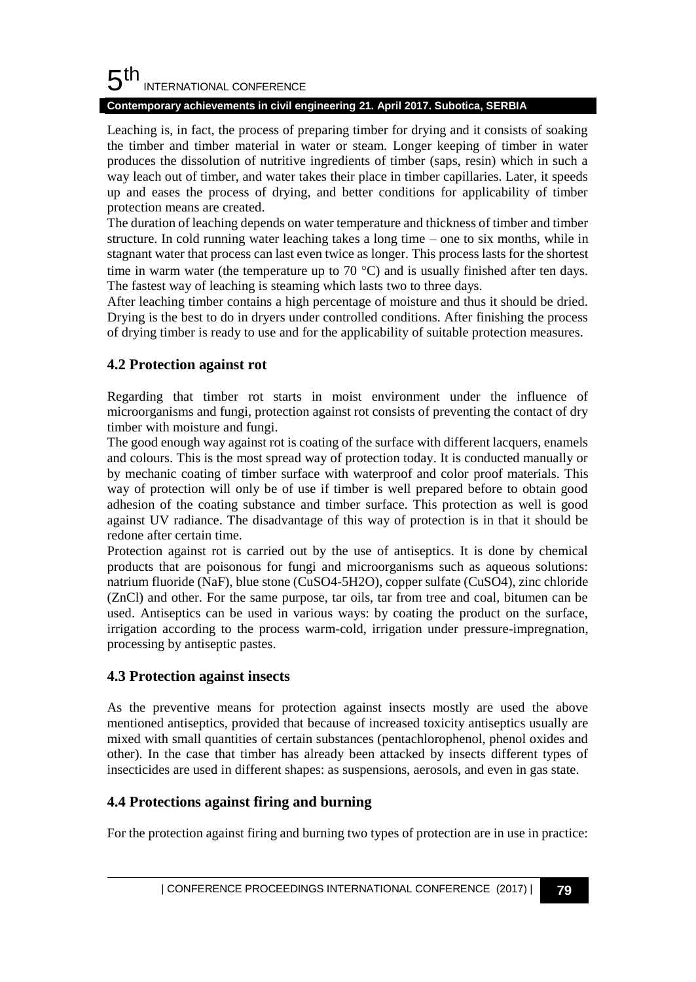#### 5 th INTERNATIONAL CONFERENCE

#### **Contemporary achievements in civil engineering 21. April 2017. Subotica, SERBIA**

Leaching is, in fact, the process of preparing timber for drying and it consists of soaking the timber and timber material in water or steam. Longer keeping of timber in water produces the dissolution of nutritive ingredients of timber (saps, resin) which in such a way leach out of timber, and water takes their place in timber capillaries. Later, it speeds up and eases the process of drying, and better conditions for applicability of timber protection means are created.

The duration of leaching depends on water temperature and thickness of timber and timber structure. In cold running water leaching takes a long time – one to six months, while in stagnant water that process can last even twice as longer. This process lasts for the shortest time in warm water (the temperature up to 70  $^{\circ}$ C) and is usually finished after ten days. The fastest way of leaching is steaming which lasts two to three days.

After leaching timber contains a high percentage of moisture and thus it should be dried. Drying is the best to do in dryers under controlled conditions. After finishing the process of drying timber is ready to use and for the applicability of suitable protection measures.

## **4.2 Protection against rot**

Regarding that timber rot starts in moist environment under the influence of microorganisms and fungi, protection against rot consists of preventing the contact of dry timber with moisture and fungi.

The good enough way against rot is coating of the surface with different lacquers, enamels and colours. This is the most spread way of protection today. It is conducted manually or by mechanic coating of timber surface with waterproof and color proof materials. This way of protection will only be of use if timber is well prepared before to obtain good adhesion of the coating substance and timber surface. This protection as well is good against UV radiance. The disadvantage of this way of protection is in that it should be redone after certain time.

Protection against rot is carried out by the use of antiseptics. It is done by chemical products that are poisonous for fungi and microorganisms such as aqueous solutions: natrium fluoride (NaF), blue stone (CuSO4-5H2O), copper sulfate (CuSO4), zinc chloride (ZnCl) and other. For the same purpose, tar oils, tar from tree and coal, bitumen can be used. Antiseptics can be used in various ways: by coating the product on the surface, irrigation according to the process warm-cold, irrigation under pressure-impregnation, processing by antiseptic pastes.

## **4.3 Protection against insects**

As the preventive means for protection against insects mostly are used the above mentioned antiseptics, provided that because of increased toxicity antiseptics usually are mixed with small quantities of certain substances (pentachlorophenol, phenol oxides and other). In the case that timber has already been attacked by insects different types of insecticides are used in different shapes: as suspensions, aerosols, and even in gas state.

## **4.4 Protections against firing and burning**

For the protection against firing and burning two types of protection are in use in practice: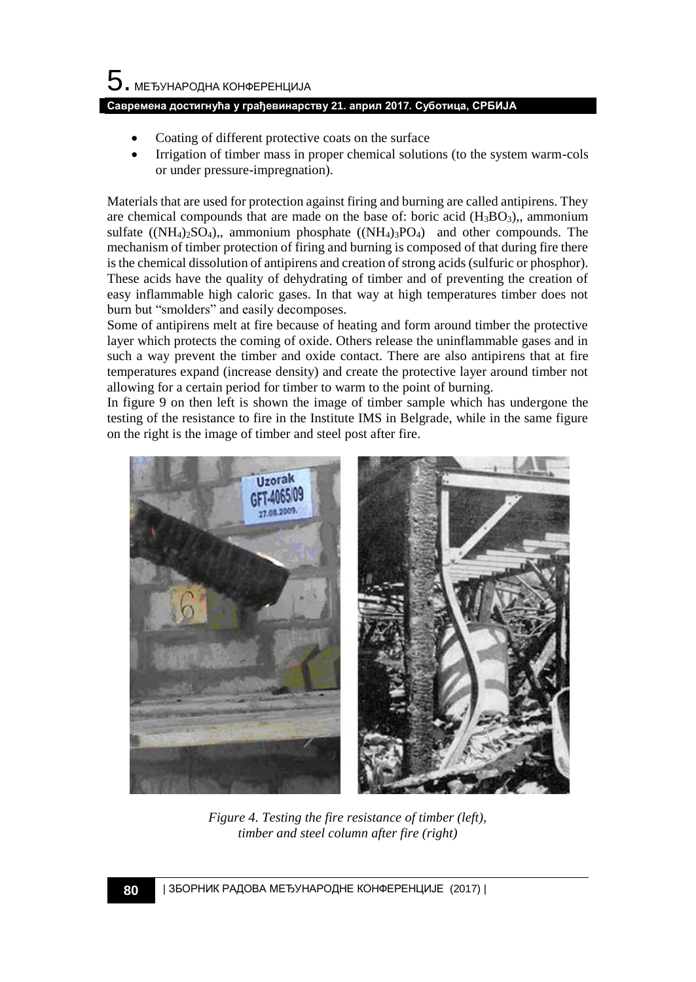# $5$ . међународна конференција

#### **Савремена достигнућа у грађевинарству 21. април 2017. Суботица, СРБИЈА**

- Coating of different protective coats on the surface
- Irrigation of timber mass in proper chemical solutions (to the system warm-cols or under pressure-impregnation).

Materials that are used for protection against firing and burning are called antipirens. They are chemical compounds that are made on the base of: boric acid  $(H_3BO_3)$ , ammonium sulfate  $((NH_4)_2SO_4)$ , ammonium phosphate  $((NH_4)_3PO_4)$  and other compounds. The mechanism of timber protection of firing and burning is composed of that during fire there is the chemical dissolution of antipirens and creation of strong acids (sulfuric or phosphor). These acids have the quality of dehydrating of timber and of preventing the creation of easy inflammable high caloric gases. In that way at high temperatures timber does not burn but "smolders" and easily decomposes.

Some of antipirens melt at fire because of heating and form around timber the protective layer which protects the coming of oxide. Others release the uninflammable gases and in such a way prevent the timber and oxide contact. There are also antipirens that at fire temperatures expand (increase density) and create the protective layer around timber not allowing for a certain period for timber to warm to the point of burning.

In figure 9 on then left is shown the image of timber sample which has undergone the testing of the resistance to fire in the Institute IMS in Belgrade, while in the same figure on the right is the image of timber and steel post after fire.



*Figure 4. Testing the fire resistance of timber (left), timber and steel column after fire (right)*